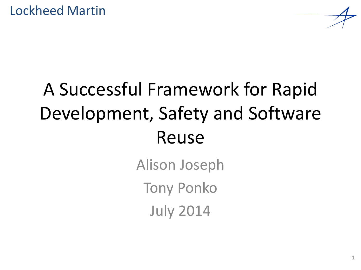# A Successful Framework for Rapid Development, Safety and Software Reuse

Alison Joseph Tony Ponko July 2014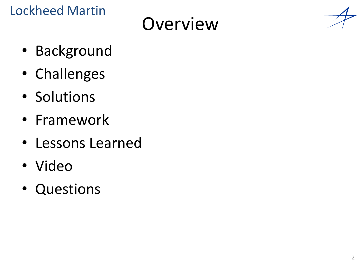### **Overview**

- Background
- Challenges
- Solutions
- Framework
- Lessons Learned
- Video
- Questions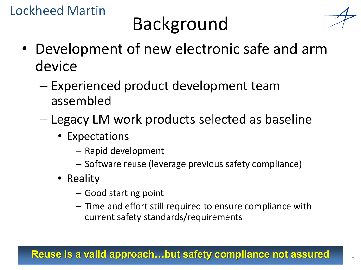# Background



- Development of new electronic safe and arm device
	- Experienced product development team assembled
	- Legacy LM work products selected as baseline
		- Expectations
			- Rapid development
			- Software reuse (leverage previous safety compliance)
		- Reality
			- Good starting point
			- Time and effort still required to ensure compliance with current safety standards/requirements

#### **Reuse is a valid approach...but safety compliance not assured**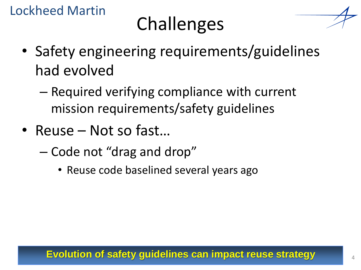# Challenges



- Safety engineering requirements/guidelines had evolved
	- Required verifying compliance with current mission requirements/safety guidelines
- Reuse Not so fast…
	- Code not "drag and drop"
		- Reuse code baselined several years ago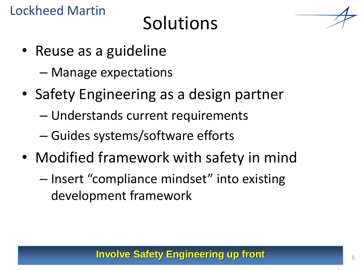## **Solutions**



- Manage expectations
- Safety Engineering as a design partner
	- Understands current requirements
	- Guides systems/software efforts
- Modified framework with safety in mind
	- Insert "compliance mindset" into existing development framework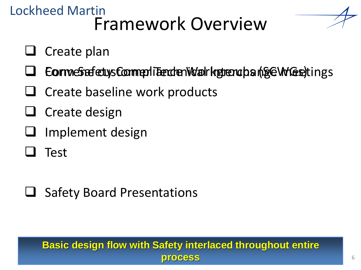#### Lockheed Martin Framework Overview

- $\Box$  Create plan
- $\Box$  Eorm estafety s Comment Tenden Wahrkgrend ban (SEC W Gestings
- $\Box$  Create baseline work products
- $\Box$  Create design
- Implement design
- Test
- **□** Safety Board Presentations

#### **Basic design flow with Safety interlaced throughout entire process**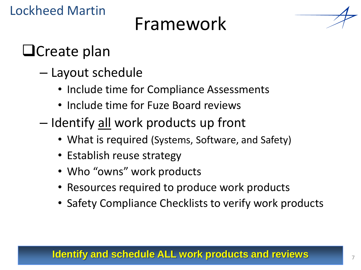### Framework



### **O**Create plan

- Layout schedule
	- Include time for Compliance Assessments
	- Include time for Fuze Board reviews
- Identify <u>all</u> work products up front
	- What is required (Systems, Software, and Safety)
	- Establish reuse strategy
	- Who "owns" work products
	- Resources required to produce work products
	- Safety Compliance Checklists to verify work products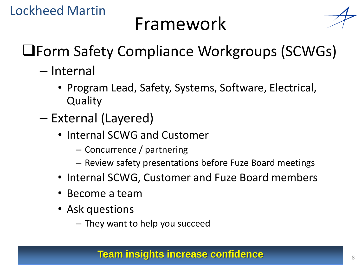

- Internal
	- Program Lead, Safety, Systems, Software, Electrical, **Quality**
- External (Layered)
	- Internal SCWG and Customer
		- Concurrence / partnering
		- Review safety presentations before Fuze Board meetings
	- Internal SCWG, Customer and Fuze Board members
	- Become a team
	- Ask questions
		- They want to help you succeed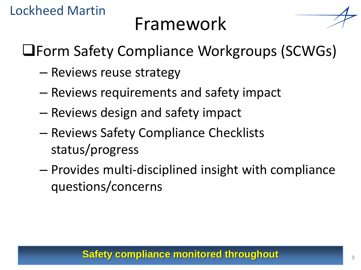## Framework



Form Safety Compliance Workgroups (SCWGs)

- Reviews reuse strategy
- Reviews requirements and safety impact
- Reviews design and safety impact
- Reviews Safety Compliance Checklists status/progress
- Provides multi-disciplined insight with compliance questions/concerns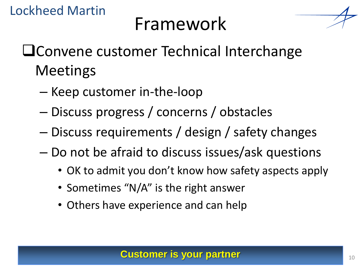

- **Latter Convene customer Technical Interchange** Meetings
	- Keep customer in-the-loop
	- Discuss progress / concerns / obstacles
	- Discuss requirements / design / safety changes
	- Do not be afraid to discuss issues/ask questions
		- OK to admit you don't know how safety aspects apply
		- Sometimes "N/A" is the right answer
		- Others have experience and can help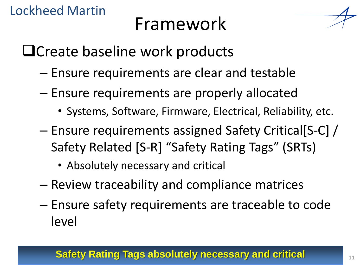## Framework

□ Create baseline work products

- Ensure requirements are clear and testable
- Ensure requirements are properly allocated
	- Systems, Software, Firmware, Electrical, Reliability, etc.
- Ensure requirements assigned Safety Critical[S-C] / Safety Related [S-R] "Safety Rating Tags" (SRTs)
	- Absolutely necessary and critical
- Review traceability and compliance matrices
- Ensure safety requirements are traceable to code level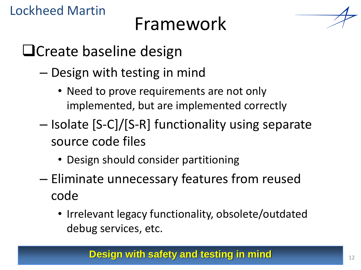

- Design with testing in mind
	- Need to prove requirements are not only implemented, but are implemented correctly
- Isolate [S-C]/[S-R] functionality using separate source code files
	- Design should consider partitioning
- Eliminate unnecessary features from reused code
	- Irrelevant legacy functionality, obsolete/outdated debug services, etc.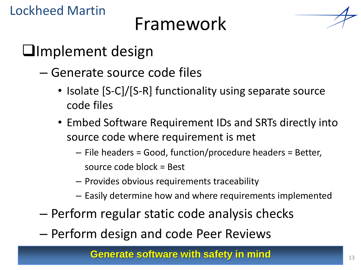### Framework



#### **Implement design**

- Generate source code files
	- Isolate [S-C]/[S-R] functionality using separate source code files
	- Embed Software Requirement IDs and SRTs directly into source code where requirement is met
		- File headers = Good, function/procedure headers = Better, source code block = Best
		- Provides obvious requirements traceability
		- Easily determine how and where requirements implemented
- Perform regular static code analysis checks
- Perform design and code Peer Reviews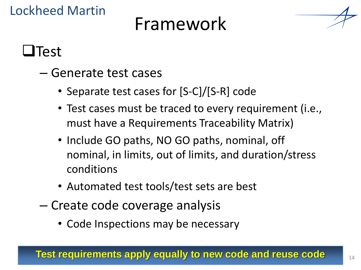### Framework



 $\blacksquare$ Test

- Generate test cases
	- Separate test cases for [S-C]/[S-R] code
	- Test cases must be traced to every requirement (i.e., must have a Requirements Traceability Matrix)
	- Include GO paths, NO GO paths, nominal, off nominal, in limits, out of limits, and duration/stress conditions
	- Automated test tools/test sets are best
- Create code coverage analysis
	- Code Inspections may be necessary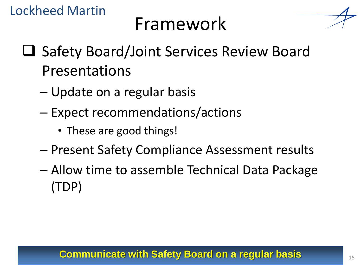

- **□ Safety Board/Joint Services Review Board** Presentations
	- Update on a regular basis
	- Expect recommendations/actions
		- These are good things!
	- Present Safety Compliance Assessment results
	- Allow time to assemble Technical Data Package (TDP)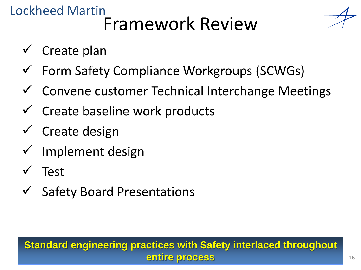#### Lockheed Martin Framework Review

- $\checkmark$  Create plan
- Form Safety Compliance Workgroups (SCWGs)
- Convene customer Technical Interchange Meetings
- Create baseline work products
- $\checkmark$  Create design
- $\checkmark$  Implement design
- Test
- Safety Board Presentations

#### **Standard engineering practices with Safety interlaced throughout entire process**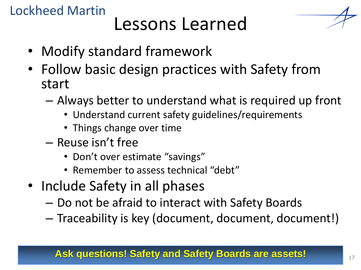#### Lockheed Martin Lessons Learned

- Modify standard framework
- Follow basic design practices with Safety from start
	- Always better to understand what is required up front
		- Understand current safety guidelines/requirements
		- Things change over time
	- Reuse isn't free
		- Don't over estimate "savings"
		- Remember to assess technical "debt"
- Include Safety in all phases
	- Do not be afraid to interact with Safety Boards
	- Traceability is key (document, document, document!)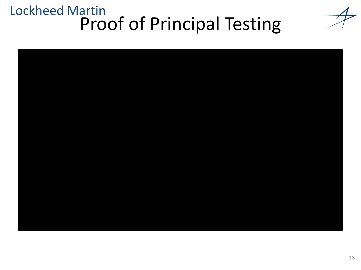#### Lockheed Martin Proof of Principal Testing

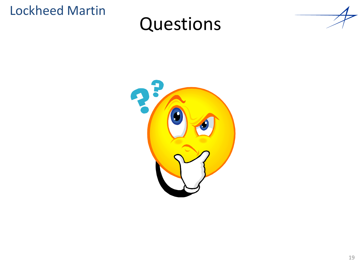### Questions